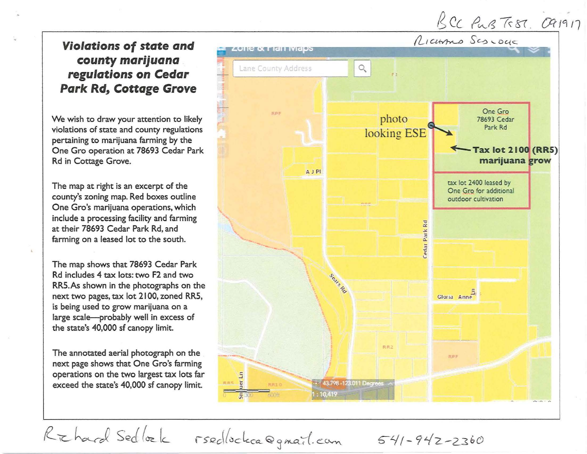## $BCC$  Pus Test.  $OR1917$

## **Violations of state and county marijuana regulations on Cedar Park Rd, Cottage Grove**

We wish to draw your attention to likely violations of state and county regulations pertaining to marijuana farming by the One Gro operation at 78693 Cedar Park Rd in Cottage Grove.

The map at right is an excerpt of the county's zoning map. Red boxes outline One Gro's marijuana operations, which include a processing facility and farming at their 78693 Cedar Park Rd, and farming on a leased lot to the south.

The map shows that 78693 Cedar Park Rd includes 4 tax lots: two F2 and two RRS.As shown in the photographs on the next two pages, tax lot 2100, zoned RRS, is being used to grow marijuana on a large scale-probably well in excess of the state's 40,000 sf canopy limit.

The annotated aerial photograph on the next page shows that One Gro's farming operations on the two largest tax lots far exceed the state's 40,000 sf canopy limit.



Richard Sedlock rsedlockca@gmail.com 541-942-2360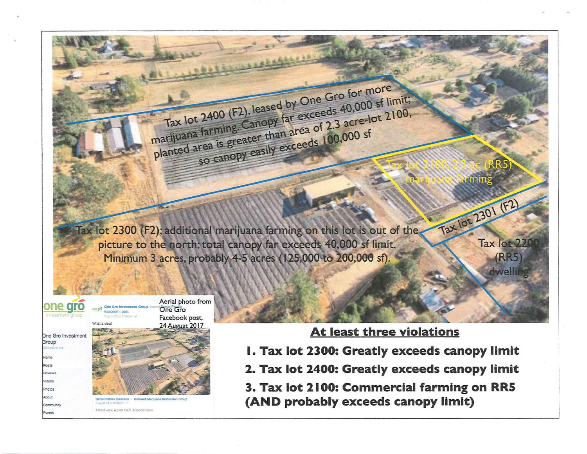Tax lot 2300 (F2); additional marijuana farming on this lot is out of the, picture to the north; total canopy far exceeds 40,000 sf limit. Minimum 3 acres, probably 4-5 acres (125,000 to 200,000 sf).

Tax lot 2400 (F2), leased by One Gro for more marijuana farming. Canopy far exceeds 40,000 sf limit; planted area is greater than area of 2.3 acre-lot 2100, so canopy easily exceeds 100,000 sf



## At least three violations

Tax lot 2301 (F2)

Tax lot 220

**(RR5)** dwelling

- I. Tax lot 2300: Greatly exceeds canopy limit
- 2. Tax lot 2400: Greatly exceeds canopy limit
- 3. Tax lot 2100: Commercial farming on RR5 (AND probably exceeds canopy limit)